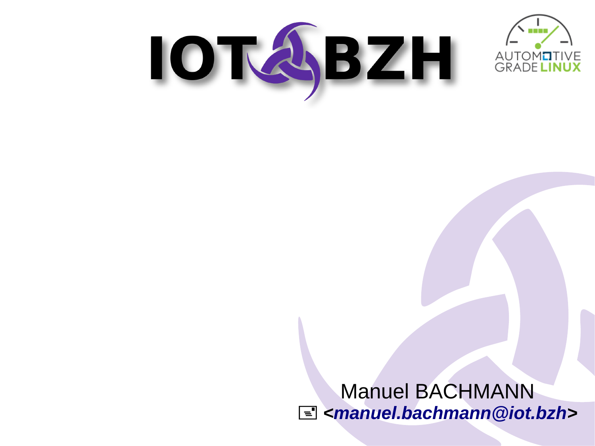



Manuel BACHMANN + *[<manuel.bachmann@iot.bzh](mailto:manuel.bachmann@iot.bzh)>*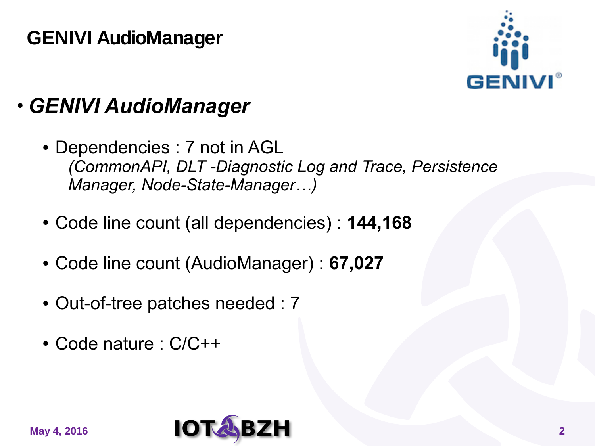#### **GENIVI AudioManager**



#### ● *GENIVI AudioManager*

- Dependencies : 7 not in AGL *(CommonAPI, DLT -Diagnostic Log and Trace, Persistence Manager, Node-State-Manager…)*
- Code line count (all dependencies) : **144,168**
- Code line count (AudioManager) : **67,027**
- Out-of-tree patches needed : 7
- Code nature : C/C++

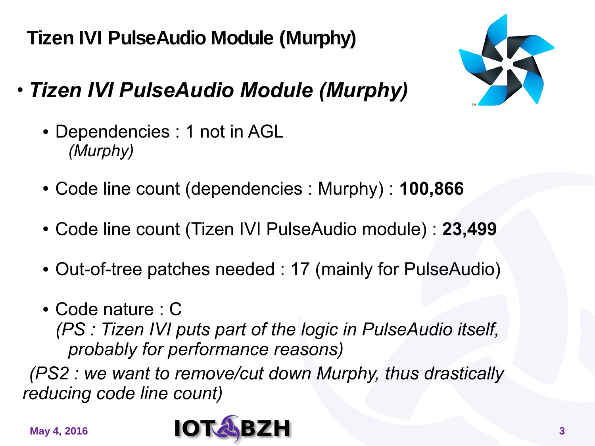**Tizen IVI PulseAudio Module (Murphy)**

- *Tizen IVI PulseAudio Module (Murphy)*
	- Dependencies : 1 not in AGL *(Murphy)*
	- Code line count (dependencies : Murphy) : **100,866**
	- Code line count (Tizen IVI PulseAudio module) : **23,499**
	- Out-of-tree patches needed : 17 (mainly for PulseAudio)
	- Code nature : C

*(PS : Tizen IVI puts part of the logic in PulseAudio itself, probably for performance reasons)*

*(PS2 : we want to remove/cut down Murphy, thus drastically reducing code line count)*



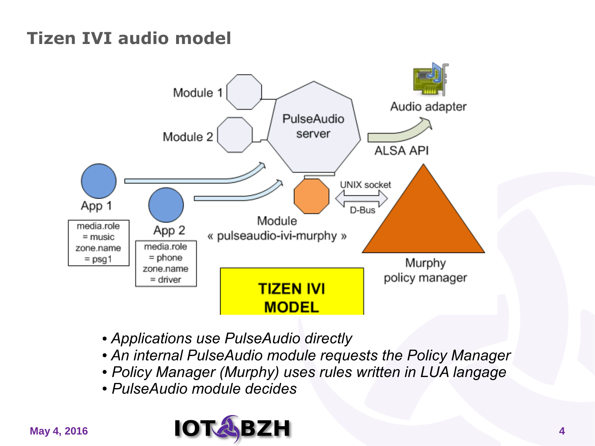#### **Tizen IVI audio model**



- *Applications use PulseAudio directly*
- *An internal PulseAudio module requests the Policy Manager*
- *Policy Manager (Murphy) uses rules written in LUA langage*
- *PulseAudio module decides*

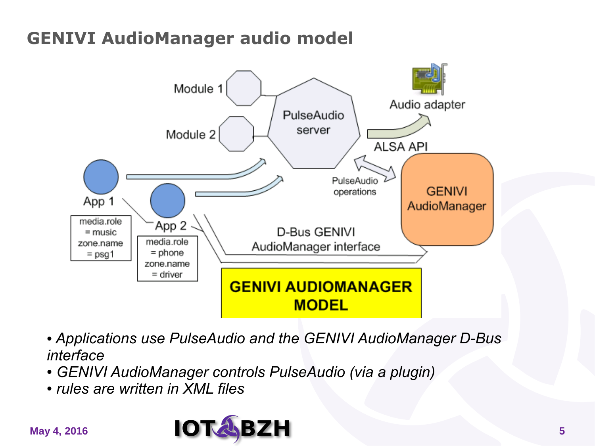#### **GENIVI AudioManager audio model**



- *Applications use PulseAudio and the GENIVI AudioManager D-Bus interface*
- *GENIVI AudioManager controls PulseAudio (via a plugin)*
- *rules are written in XML files*

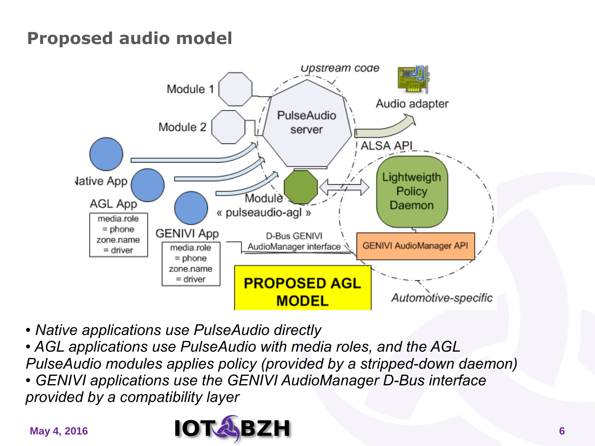#### **Proposed audio model**



● *Native applications use PulseAudio directly*

• AGL applications use PulseAudio with media roles, and the AGL *PulseAudio modules applies policy (provided by a stripped-down daemon)*

**• GENIVI applications use the GENIVI AudioManager D-Bus interface** *provided by a compatibility layer*

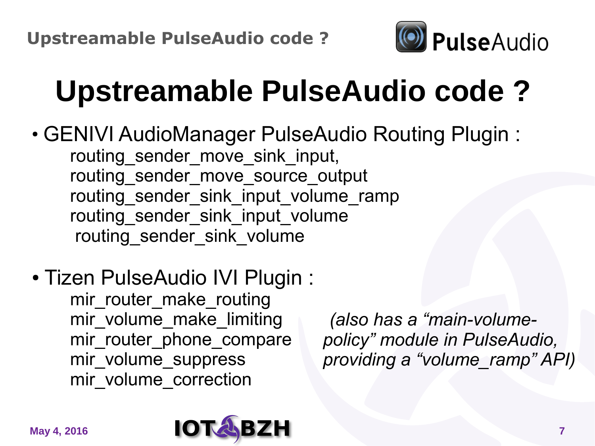

## **Upstreamable PulseAudio code ?**

- GENIVI AudioManager PulseAudio Routing Plugin: routing sender move sink input, routing sender move source output routing sender\_sink\_input\_volume\_ramp routing sender sink input volume routing sender sink volume
- Tizen PulseAudio IVI Plugin :

mir router make routing mir volume make limiting mir\_router\_phone\_compare mir volume suppress mir volume correction

*(also has a "main-volumepolicy" module in PulseAudio, providing a "volume\_ramp" API)*

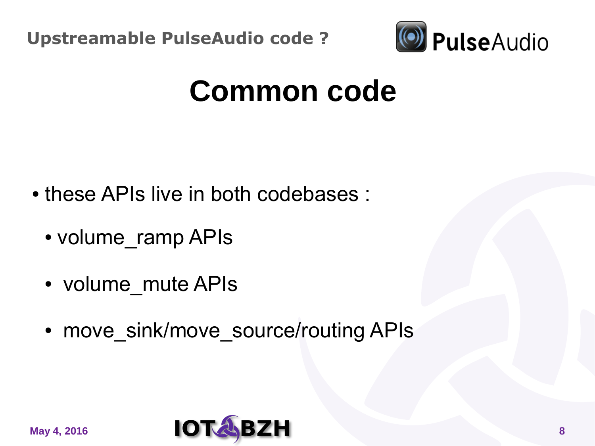

## **Common code**

- these APIs live in both codebases :
	- volume ramp APIs
	- volume mute APIs
	- move\_sink/move\_source/routing APIs

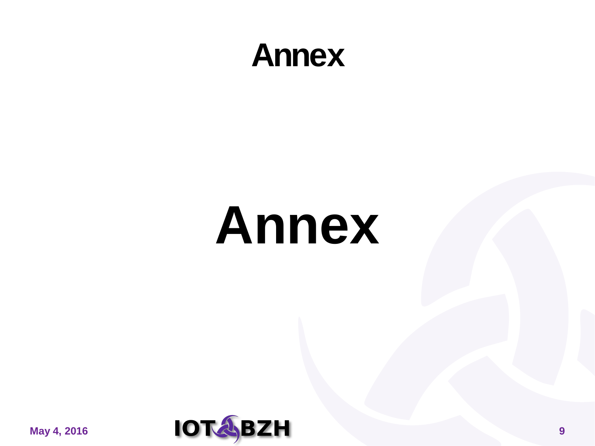### **Annex**

## **Annex**

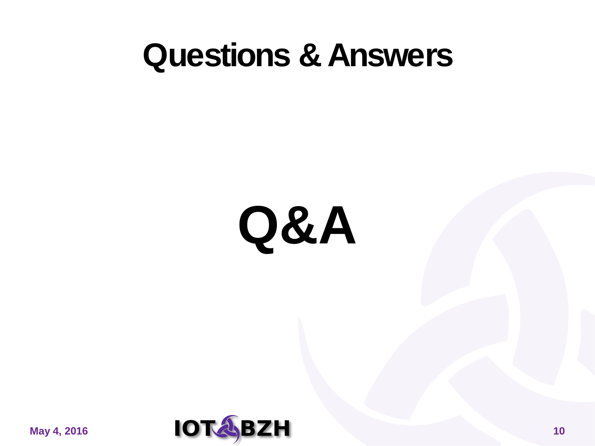## **Questions & Answers**

# **Q&A**